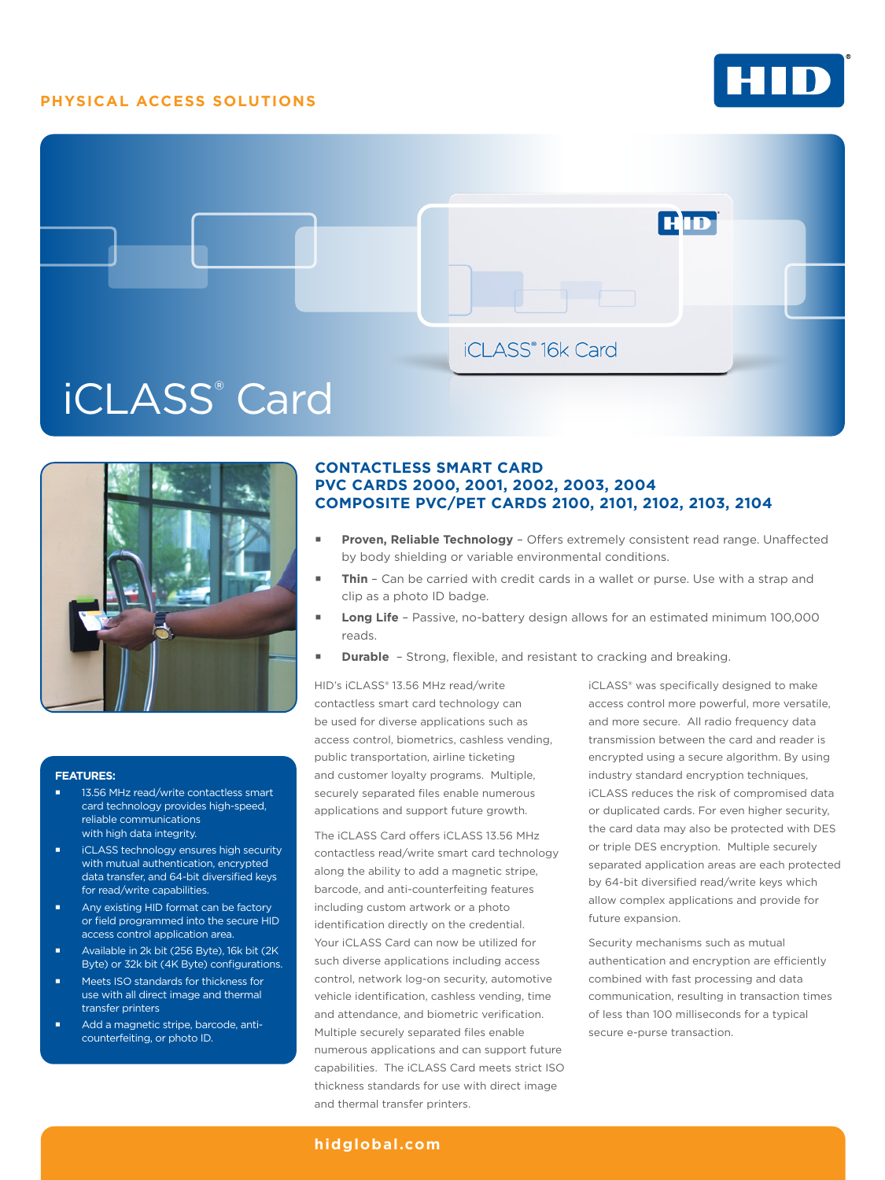## **PHYSICAL ACCESS SOLUTIONS**







#### **FEATURES:**

- 13.56 MHz read/write contactless smart card technology provides high-speed, reliable communications with high data integrity.
- iCLASS technology ensures high security with mutual authentication, encrypted data transfer, and 64-bit diversified keys for read/write capabilities.
- Any existing HID format can be factory or field programmed into the secure HID access control application area.
- Available in 2k bit (256 Byte), 16k bit (2K Byte) or 32k bit (4K Byte) configurations.
- Meets ISO standards for thickness for use with all direct image and thermal transfer printers
- Add a magnetic stripe, barcode, anticounterfeiting, or photo ID.

## **CONTACTLESS SMART CARD PVC CARDS 2000, 2001, 2002, 2003, 2004 COMPOSITE PVC/PET CARDS 2100, 2101, 2102, 2103, 2104**

- **Proven, Reliable Technology**  Offers extremely consistent read range. Unaffected by body shielding or variable environmental conditions.
- **Thin**  Can be carried with credit cards in a wallet or purse. Use with a strap and clip as a photo ID badge.
- **Long Life**  Passive, no-battery design allows for an estimated minimum 100,000 reads.
- **Durable** Strong, flexible, and resistant to cracking and breaking.

HID's iCLASS® 13.56 MHz read/write contactless smart card technology can be used for diverse applications such as access control, biometrics, cashless vending, public transportation, airline ticketing and customer loyalty programs. Multiple, securely separated files enable numerous applications and support future growth.

The iCLASS Card offers iCLASS 13.56 MHz contactless read/write smart card technology along the ability to add a magnetic stripe, barcode, and anti-counterfeiting features including custom artwork or a photo identification directly on the credential. Your iCLASS Card can now be utilized for such diverse applications including access control, network log-on security, automotive vehicle identification, cashless vending, time and attendance, and biometric verification. Multiple securely separated files enable numerous applications and can support future capabilities. The iCLASS Card meets strict ISO thickness standards for use with direct image and thermal transfer printers.

iCLASS® was specifically designed to make access control more powerful, more versatile, and more secure. All radio frequency data transmission between the card and reader is encrypted using a secure algorithm. By using industry standard encryption techniques, iCLASS reduces the risk of compromised data or duplicated cards. For even higher security, the card data may also be protected with DES or triple DES encryption. Multiple securely separated application areas are each protected by 64-bit diversified read/write keys which allow complex applications and provide for future expansion.

Security mechanisms such as mutual authentication and encryption are efficiently combined with fast processing and data communication, resulting in transaction times of less than 100 milliseconds for a typical secure e-purse transaction.